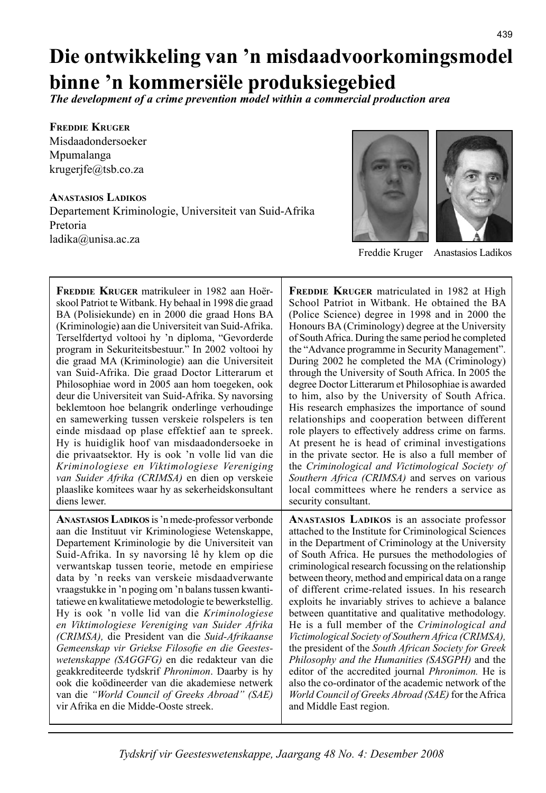# **Die ontwikkeling van 'n misdaadvoorkomingsmodel binne 'n kommersiële produksiegebied**

*The development of a crime prevention model within a commercial production area*

**FREDDIE KRUGER** Misdaadondersoeker Mpumalanga krugerjfe@tsb.co.za

**ANASTASIOS LADIKOS** Departement Kriminologie, Universiteit van Suid-Afrika Pretoria ladika@unisa.ac.za



Freddie Kruger Anastasios Ladikos

**FREDDIE KRUGER** matrikuleer in 1982 aan Hoërskool Patriot te Witbank. Hy behaal in 1998 die graad BA (Polisiekunde) en in 2000 die graad Hons BA (Kriminologie) aan die Universiteit van Suid-Afrika. Terselfdertyd voltooi hy 'n diploma, "Gevorderde program in Sekuriteitsbestuur." In 2002 voltooi hy die graad MA (Kriminologie) aan die Universiteit van Suid-Afrika. Die graad Doctor Litterarum et Philosophiae word in 2005 aan hom toegeken, ook deur die Universiteit van Suid-Afrika. Sy navorsing beklemtoon hoe belangrik onderlinge verhoudinge en samewerking tussen verskeie rolspelers is ten einde misdaad op plase effektief aan te spreek. Hy is huidiglik hoof van misdaadondersoeke in die privaatsektor. Hy is ook 'n volle lid van die *Kriminologiese en Viktimologiese Vereniging van Suider Afrika (CRIMSA)* en dien op verskeie plaaslike komitees waar hy as sekerheidskonsultant diens lewer.

**ANASTASIOS LADIKOS** is 'n mede-professor verbonde aan die Instituut vir Kriminologiese Wetenskappe, Departement Kriminologie by die Universiteit van Suid-Afrika. In sy navorsing lê hy klem op die verwantskap tussen teorie, metode en empiriese data by 'n reeks van verskeie misdaadverwante vraag stukke in 'n poging om 'n balans tussen kwantitatiewe en kwalitatiewe metodologie te bewerkstellig. Hy is ook 'n volle lid van die *Kriminologiese en Viktimologiese Vereniging van Suider Afrika (CRIMSA),* die President van die *Suid-Afrikaanse*  Gemeenskap vir Griekse Filosofie en die Geestes*wetenskappe (SAGGFG)* en die redakteur van die geakkrediteerde tydskrif *Phronimon*. Daarby is hy ook die koödineerder van die akademiese netwerk van die *"World Council of Greeks Abroad" (SAE)* vir Afrika en die Midde-Ooste streek.

**FREDDIE KRUGER** matriculated in 1982 at High School Patriot in Witbank. He obtained the BA (Police Science) degree in 1998 and in 2000 the Honours BA (Criminology) degree at the University of South Africa. During the same period he completed the "Advance programme in Security Management". During 2002 he completed the MA (Criminology) through the University of South Africa. In 2005 the degree Doctor Litterarum et Philosophiae is awarded to him, also by the University of South Africa. His research emphasizes the importance of sound relationships and cooperation between different role players to effectively address crime on farms. At present he is head of criminal investigations in the private sector. He is also a full member of the *Criminological and Victimological Society of Southern Africa (CRIMSA)* and serves on various local committees where he renders a service as security consultant.

**ANASTASIOS LADIKOS** is an associate professor attached to the Institute for Criminological Sciences in the Department of Criminology at the University of South Africa. He pursues the methodologies of criminological research focussing on the relationship between theory, method and empirical data on a range of different crime-related issues. In his research exploits he invariably strives to achieve a balance between quantitative and qualitative methodology. He is a full member of the *Criminological and Victimological Society of Southern Africa (CRIMSA),* the president of the *South African Society for Greek Philosophy and the Humanities (SASGPH)* and the editor of the accredited journal *Phronimon.* He is also the co-ordinator of the academic network of the *World Council of Greeks Abroad (SAE)* for the Africa and Middle East region.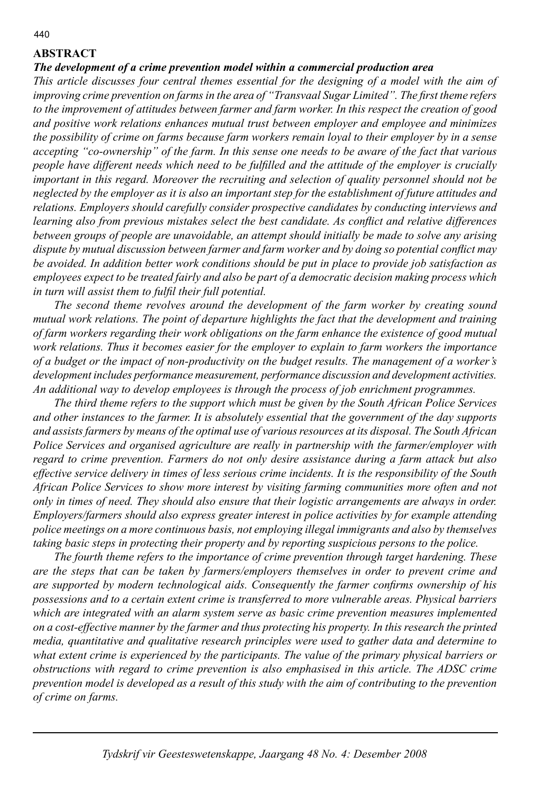## **ABSTRACT**

#### *The development of a crime prevention model within a commercial production area*

*This article discusses four central themes essential for the designing of a model with the aim of improving crime prevention on farms in the area of "Transvaal Sugar Limited". The first theme refers to the improvement of attitudes between farmer and farm worker. In this respect the creation of good and positive work relations enhances mutual trust between employer and employee and minimizes the possibility of crime on farms because farm workers remain loyal to their employer by in a sense accepting "co-ownership" of the farm. In this sense one needs to be aware of the fact that various people have different needs which need to be fulfi lled and the attitude of the employer is crucially important in this regard. Moreover the recruiting and selection of quality personnel should not be neglected by the employer as it is also an important step for the establishment of future attitudes and relations. Employers should carefully consider prospective candidates by conducting interviews and learning also from previous mistakes select the best candidate. As conflict and relative differences between groups of people are unavoidable, an attempt should initially be made to solve any arising*  dispute by mutual discussion between farmer and farm worker and by doing so potential conflict may *be avoided. In addition better work conditions should be put in place to provide job satisfaction as employees expect to be treated fairly and also be part of a democratic decision making process which*  in turn will assist them to fulfil their full potential.

 *The second theme revolves around the development of the farm worker by creating sound mutual work relations. The point of departure highlights the fact that the development and training of farm workers regarding their work obligations on the farm enhance the existence of good mutual work relations. Thus it becomes easier for the employer to explain to farm workers the importance of a budget or the impact of non-productivity on the budget results. The management of a worker's development includes performance measurement, performance discussion and development activities. An additional way to develop employees is through the process of job enrichment programmes.* 

 *The third theme refers to the support which must be given by the South African Police Services and other instances to the farmer. It is absolutely essential that the government of the day supports and assists farmers by means of the optimal use of various resources at its disposal. The South African Police Services and organised agriculture are really in partnership with the farmer/employer with regard to crime prevention. Farmers do not only desire assistance during a farm attack but also effective service delivery in times of less serious crime incidents. It is the responsibility of the South African Police Services to show more interest by visiting farming communities more often and not only in times of need. They should also ensure that their logistic arrangements are always in order. Employers/farmers should also express greater interest in police activities by for example attending police meetings on a more continuous basis, not employing illegal immigrants and also by themselves taking basic steps in protecting their property and by reporting suspicious persons to the police.* 

 *The fourth theme refers to the importance of crime prevention through target hardening. These are the steps that can be taken by farmers/employers themselves in order to prevent crime and are supported by modern technological aids. Consequently the farmer confirms ownership of his possessions and to a certain extent crime is transferred to more vulnerable areas. Physical barriers which are integrated with an alarm system serve as basic crime prevention measures implemented on a cost-effective manner by the farmer and thus protecting his property. In this research the printed media, quantitative and qualitative research principles were used to gather data and determine to what extent crime is experienced by the participants. The value of the primary physical barriers or obstructions with regard to crime prevention is also emphasised in this article. The ADSC crime prevention model is developed as a result of this study with the aim of contributing to the prevention of crime on farms.* 

*Tydskrif vir Geesteswetenskappe, Jaargang 48 No. 4: Desember 2008*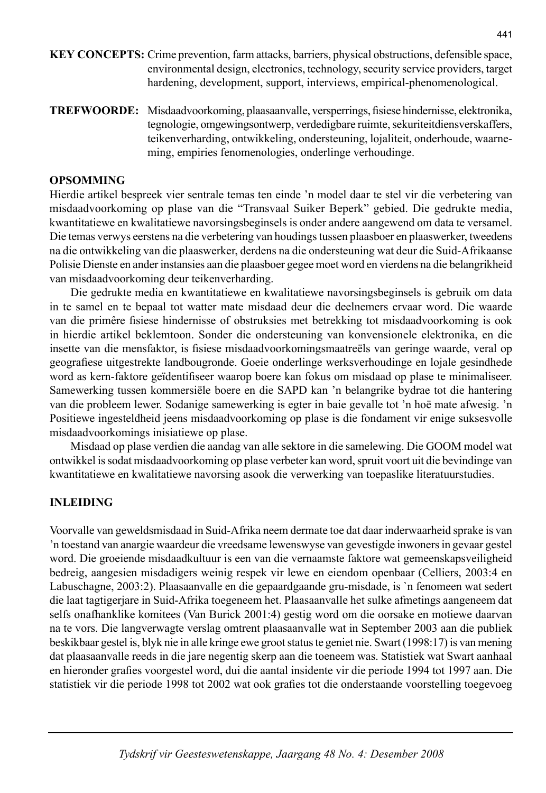- **KEY CONCEPTS:** Crime prevention, farm attacks, barriers, physical obstructions, defensible space, environmental design, electronics, technology, security service providers, target hardening, development, support, interviews, empirical-phenomenological.
- **TREFWOORDE:** Misdaadvoorkoming, plaasaanvalle, versperrings, fi siese hindernisse, elektronika, tegnologie, omgewingsontwerp, verdedigbare ruimte, sekuriteit diensverskaffers, teikenverharding, ontwikkeling, ondersteuning, lojaliteit, onderhoude, waarneming, empiries fenomenologies, onderlinge verhoudinge.

### **OPSOMMING**

Hierdie artikel bespreek vier sentrale temas ten einde 'n model daar te stel vir die verbetering van misdaadvoorkoming op plase van die "Transvaal Suiker Beperk" gebied. Die gedrukte media, kwantitatiewe en kwalitatiewe navorsingsbeginsels is onder andere aangewend om data te versamel. Die temas verwys eerstens na die verbetering van houdings tussen plaasboer en plaaswerker, tweedens na die ontwikkeling van die plaaswerker, derdens na die ondersteuning wat deur die Suid-Afrikaanse Polisie Dienste en ander instansies aan die plaasboer gegee moet word en vierdens na die belangrikheid van misdaadvoorkoming deur teikenverharding.

 Die gedrukte media en kwantitatiewe en kwalitatiewe navorsingsbeginsels is gebruik om data in te samel en te bepaal tot watter mate misdaad deur die deelnemers ervaar word. Die waarde van die primêre fisiese hindernisse of obstruksies met betrekking tot misdaadvoorkoming is ook in hierdie artikel beklemtoon. Sonder die ondersteuning van konvensionele elektronika, en die insette van die mensfaktor, is fisiese misdaadvoorkomingsmaatreëls van geringe waarde, veral op geografiese uitgestrekte landbougronde. Goeie onderlinge werksverhoudinge en lojale gesindhede word as kern-faktore geïdentifiseer waarop boere kan fokus om misdaad op plase te minimaliseer. Samewerking tussen kommersiële boere en die SAPD kan 'n belangrike bydrae tot die hantering van die probleem lewer. Sodanige samewerking is egter in baie gevalle tot 'n hoë mate afwesig. 'n Positiewe ingesteldheid jeens misdaadvoorkoming op plase is die fondament vir enige suksesvolle misdaadvoorkomings inisiatiewe op plase.

 Misdaad op plase verdien die aandag van alle sektore in die samelewing. Die GOOM model wat ontwikkel is sodat misdaadvoorkoming op plase verbeter kan word, spruit voort uit die bevindinge van kwantitatiewe en kwalitatiewe navorsing asook die verwerking van toepaslike literatuurstudies.

## **INLEIDING**

Voorvalle van geweldsmisdaad in Suid-Afrika neem dermate toe dat daar inderwaarheid sprake is van 'n toestand van anargie waardeur die vreedsame lewenswyse van gevestigde inwoners in gevaar gestel word. Die groeiende misdaadkultuur is een van die vernaamste faktore wat gemeen skapsveiligheid bedreig, aangesien misdadigers weinig respek vir lewe en eiendom openbaar (Celliers, 2003:4 en Labuschagne, 2003:2). Plaasaanvalle en die gepaardgaande gru-misdade, is `n fenomeen wat sedert die laat tagtigerjare in Suid-Afrika toegeneem het. Plaasaanvalle het sulke afmetings aangeneem dat selfs onafhanklike komitees (Van Burick 2001:4) gestig word om die oorsake en motiewe daarvan na te vors. Die langverwagte verslag omtrent plaasaanvalle wat in September 2003 aan die publiek beskikbaar gestel is, blyk nie in alle kringe ewe groot status te geniet nie. Swart (1998:17) is van mening dat plaasaanvalle reeds in die jare negentig skerp aan die toeneem was. Statistiek wat Swart aanhaal en hieronder grafies voorgestel word, dui die aantal insidente vir die periode 1994 tot 1997 aan. Die statistiek vir die periode 1998 tot 2002 wat ook grafies tot die onderstaande voorstelling toegevoeg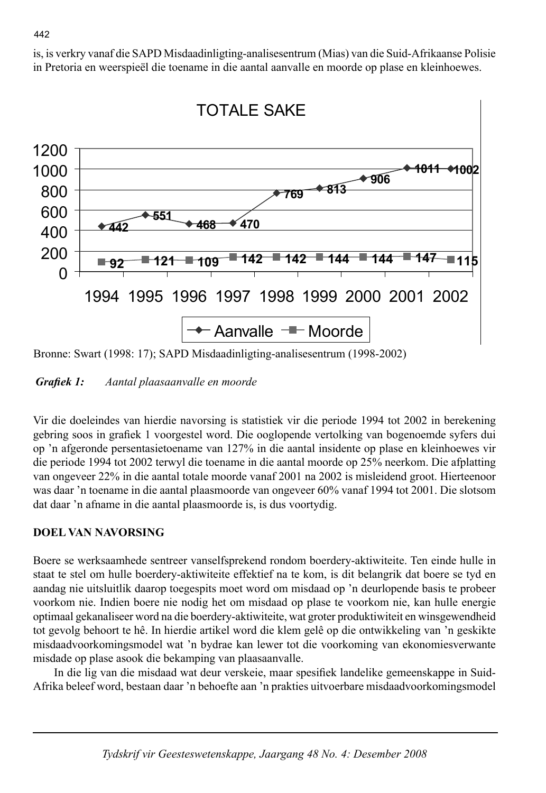is, is verkry vanaf die SAPD Misdaadinligting-analisesentrum (Mias) van die Suid-Afrikaanse Polisie in Pretoria en weerspieël die toename in die aantal aanvalle en moorde op plase en kleinhoewes.



Bronne: Swart (1998: 17); SAPD Misdaadinligting-analisesentrum (1998-2002)

*Grafiek 1:* Aantal plaasaanvalle en moorde

Vir die doeleindes van hierdie navorsing is statistiek vir die periode 1994 tot 2002 in berekening gebring soos in grafiek 1 voorgestel word. Die ooglopende vertolking van bogenoemde syfers dui op 'n afgeronde persentasietoename van 127% in die aantal insidente op plase en kleinhoewes vir die periode 1994 tot 2002 terwyl die toename in die aantal moorde op 25% neerkom. Die afplatting van ongeveer 22% in die aantal totale moorde vanaf 2001 na 2002 is misleidend groot. Hierteenoor was daar 'n toename in die aantal plaasmoorde van ongeveer 60% vanaf 1994 tot 2001. Die slotsom dat daar 'n afname in die aantal plaasmoorde is, is dus voortydig.

# **DOEL VAN NAVORSING**

Boere se werksaamhede sentreer vanselfsprekend rondom boerdery-aktiwiteite. Ten einde hulle in staat te stel om hulle boerdery-aktiwiteite effektief na te kom, is dit belangrik dat boere se tyd en aandag nie uitsluitlik daarop toegespits moet word om misdaad op 'n deurlopende basis te probeer voorkom nie. Indien boere nie nodig het om misdaad op plase te voorkom nie, kan hulle energie optimaal gekanaliseer word na die boerdery-aktiwiteite, wat groter produktiwiteit en winsgewendheid tot gevolg behoort te hê. In hierdie artikel word die klem gelê op die ontwikkeling van 'n geskikte misdaadvoorkomingsmodel wat 'n bydrae kan lewer tot die voorkoming van ekonomiesverwante misdade op plase asook die bekamping van plaasaanvalle.

In die lig van die misdaad wat deur verskeie, maar spesifiek landelike gemeenskappe in Suid-Afrika beleef word, bestaan daar 'n behoefte aan 'n prakties uitvoerbare misdaadvoorkomingsmodel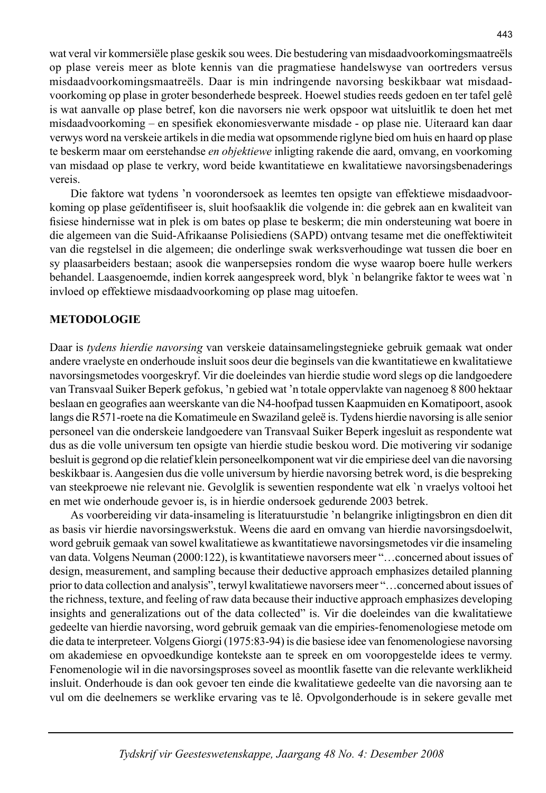wat veral vir kommersiële plase geskik sou wees. Die bestudering van misdaadvoorkomingsmaatreëls op plase vereis meer as blote kennis van die pragmatiese handelswyse van oortreders versus misdaadvoorkomingsmaatreëls. Daar is min indringende navorsing beskikbaar wat misdaadvoorkoming op plase in groter besonderhede bespreek. Hoewel studies reeds gedoen en ter tafel gelê is wat aanvalle op plase betref, kon die navorsers nie werk opspoor wat uitsluitlik te doen het met misdaadvoorkoming – en spesifiek ekonomiesverwante misdade - op plase nie. Uiteraard kan daar verwys word na verskeie artikels in die media wat opsommende riglyne bied om huis en haard op plase te beskerm maar om eerstehandse *en objektiewe* inligting rakende die aard, omvang, en voorkoming van misdaad op plase te verkry, word beide kwantitatiewe en kwalitatiewe navorsingsbenaderings vereis.

 Die faktore wat tydens 'n voorondersoek as leemtes ten opsigte van effektiewe misdaadvoorkoming op plase geïdentifiseer is, sluit hoofsaaklik die volgende in: die gebrek aan en kwaliteit van fisiese hindernisse wat in plek is om bates op plase te beskerm; die min ondersteuning wat boere in die algemeen van die Suid-Afrikaanse Polisiediens (SAPD) ontvang tesame met die oneffektiwiteit van die regstelsel in die algemeen; die onderlinge swak werksverhoudinge wat tussen die boer en sy plaasarbeiders bestaan; asook die wanpersepsies rondom die wyse waarop boere hulle werkers behandel. Laasgenoemde, indien korrek aangespreek word, blyk `n belangrike faktor te wees wat `n invloed op effektiewe misdaadvoorkoming op plase mag uitoefen.

#### **METODOLOGIE**

Daar is *tydens hierdie navorsing* van verskeie datainsamelingstegnieke gebruik gemaak wat onder andere vraelyste en onderhoude insluit soos deur die beginsels van die kwantitatiewe en kwalitatiewe navorsingsmetodes voorgeskryf. Vir die doeleindes van hierdie studie word slegs op die landgoedere van Transvaal Suiker Beperk gefokus, 'n gebied wat 'n totale oppervlakte van nagenoeg 8 800 hektaar beslaan en geografies aan weerskante van die N4-hoofpad tussen Kaapmuiden en Komatipoort, asook langs die R571-roete na die Komatimeule en Swaziland geleë is. Tydens hierdie navorsing is alle senior personeel van die onderskeie landgoedere van Transvaal Suiker Beperk ingesluit as respondente wat dus as die volle universum ten opsigte van hierdie studie beskou word. Die motivering vir sodanige besluit is gegrond op die relatief klein personeelkomponent wat vir die empiriese deel van die navorsing beskikbaar is. Aangesien dus die volle universum by hierdie navorsing betrek word, is die bespreking van steekproewe nie relevant nie. Gevolglik is sewentien respondente wat elk `n vraelys voltooi het en met wie onderhoude gevoer is, is in hierdie ondersoek gedurende 2003 betrek.

 As voorbereiding vir data-insameling is literatuurstudie 'n belangrike inligtingsbron en dien dit as basis vir hierdie navorsingswerkstuk. Weens die aard en omvang van hierdie navorsingsdoelwit, word gebruik gemaak van sowel kwalitatiewe as kwantitatiewe navorsingsmetodes vir die insameling van data. Volgens Neuman (2000:122), is kwantitatiewe navorsers meer "…concerned about issues of design, measurement, and sampling because their deductive approach emphasizes detailed planning prior to data collection and analysis", terwyl kwalitatiewe navorsers meer "…concerned about issues of the richness, texture, and feeling of raw data because their inductive approach emphasizes developing insights and generalizations out of the data collected" is. Vir die doeleindes van die kwalitatiewe gedeelte van hierdie navorsing, word gebruik gemaak van die empiries-fenomenologiese metode om die data te interpreteer. Volgens Giorgi (1975:83-94) is die basiese idee van fenomenologiese navorsing om akademiese en opvoedkundige kontekste aan te spreek en om vooropgestelde idees te vermy. Fenomenologie wil in die navorsingsproses soveel as moontlik fasette van die relevante werklikheid insluit. Onderhoude is dan ook gevoer ten einde die kwalitatiewe gedeelte van die navorsing aan te vul om die deelnemers se werklike ervaring vas te lê. Opvolgonderhoude is in sekere gevalle met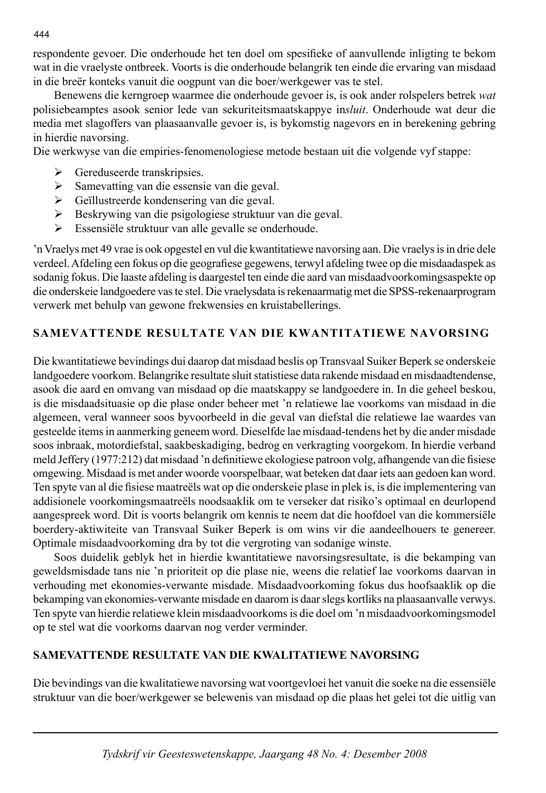respondente gevoer. Die onderhoude het ten doel om spesifieke of aanvullende inligting te bekom wat in die vraelyste ontbreek. Voorts is die onderhoude belangrik ten einde die ervaring van misdaad in die breër konteks vanuit die oogpunt van die boer/werkgewer vas te stel.

 Benewens die kerngroep waarmee die onderhoude gevoer is, is ook ander rolspelers betrek *wat* polisiebeamptes asook senior lede van sekuriteitsmaatskappye in*sluit*. Onderhoude wat deur die media met slagoffers van plaasaanvalle gevoer is, is bykomstig nagevors en in berekening gebring in hierdie navorsing.

Die werkwyse van die empiries-fenomenologiese metode bestaan uit die volgende vyf stappe:

- $\triangleright$  Gereduseerde transkripsies.
- ¾ Samevatting van die essensie van die geval.
- ¾ Geïllustreerde kondensering van die geval.
- ¾ Beskrywing van die psigologiese struktuur van die geval.
- ¾ Essensiële struktuur van alle gevalle se onderhoude.

'n Vraelys met 49 vrae is ook opgestel en vul die kwantitatiewe navorsing aan. Die vraelys is in drie dele verdeel. Afdeling een fokus op die geografiese gegewens, terwyl afdeling twee op die misdaadaspek as sodanig fokus. Die laaste afdeling is daargestel ten einde die aard van misdaadvoorkomingsaspekte op die onderskeie landgoedere vas te stel. Die vraelysdata is rekenaarmatig met die SPSS-rekenaarprogram verwerk met behulp van gewone frekwensies en kruistabellerings.

# **SAMEVATTENDE RESULTATE VAN DIE KWANTITATIEWE NAVORSING**

Die kwantitatiewe bevindings dui daarop dat misdaad beslis op Transvaal Suiker Beperk se onderskeie landgoedere voorkom. Belangrike resultate sluit statistiese data rakende misdaad en misdaadtendense, asook die aard en omvang van misdaad op die maatskappy se landgoedere in. In die geheel beskou, is die misdaadsituasie op die plase onder beheer met 'n relatiewe lae voorkoms van misdaad in die algemeen, veral wanneer soos byvoorbeeld in die geval van diefstal die relatiewe lae waardes van gesteelde items in aanmerking geneem word. Dieselfde lae misdaad-tendens het by die ander misdade soos inbraak, motordiefstal, saakbeskadiging, bedrog en verkragting voorgekom. In hierdie verband meld Jeffery (1977:212) dat misdaad 'n definitiewe ekologiese patroon volg, afhangende van die fisiese omgewing. Misdaad is met ander woorde voorspelbaar, wat beteken dat daar iets aan gedoen kan word. Ten spyte van al die fisiese maatreëls wat op die onderskeie plase in plek is, is die implementering van addisionele voorkomingsmaatreëls noodsaaklik om te verseker dat risiko's optimaal en deurlopend aangespreek word. Dit is voorts belangrik om kennis te neem dat die hoofdoel van die kommersiële boerdery-aktiwiteite van Transvaal Suiker Beperk is om wins vir die aandeelhouers te genereer. Optimale misdaadvoorkoming dra by tot die vergroting van sodanige winste.

 Soos duidelik geblyk het in hierdie kwantitatiewe navorsingsresultate, is die bekamping van geweldsmisdade tans nie 'n prioriteit op die plase nie, weens die relatief lae voorkoms daarvan in verhouding met ekonomies-verwante misdade. Misdaadvoorkoming fokus dus hoofsaaklik op die bekamping van ekonomies-verwante misdade en daarom is daar slegs kortliks na plaasaanvalle verwys. Ten spyte van hierdie relatiewe klein misdaadvoorkoms is die doel om 'n misdaadvoorkomingsmodel op te stel wat die voorkoms daarvan nog verder verminder.

# **SAMEVATTENDE RESULTATE VAN DIE KWALITATIEWE NAVORSING**

Die bevindings van die kwalitatiewe navorsing wat voortgevloei het vanuit die soeke na die essensiële struktuur van die boer/werkgewer se belewenis van misdaad op die plaas het gelei tot die uitlig van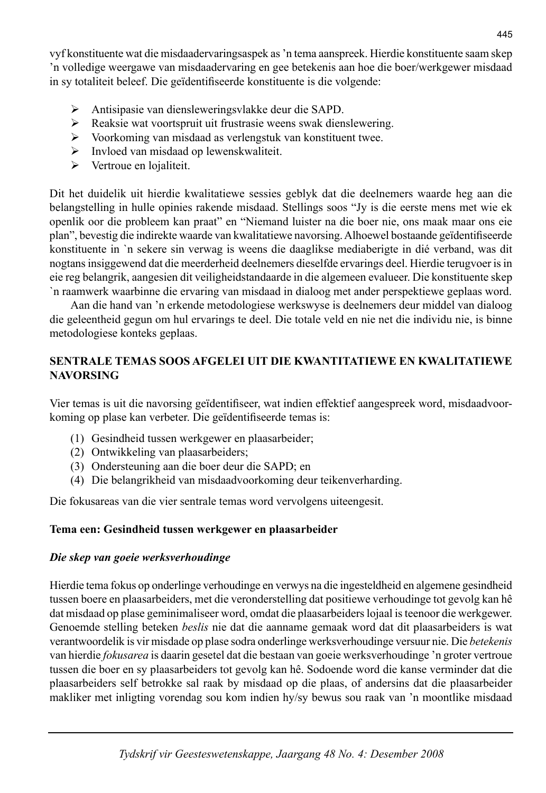vyf konstituente wat die misdaadervaringsaspek as 'n tema aanspreek. Hierdie konstituente saam skep 'n volledige weergawe van misdaadervaring en gee betekenis aan hoe die boer/werkgewer misdaad in sy totaliteit beleef. Die geïdentifiseerde konstituente is die volgende:

- ¾ Antisipasie van diensleweringsvlakke deur die SAPD.
- ¾ Reaksie wat voortspruit uit frustrasie weens swak dienslewering.
- ¾ Voorkoming van misdaad as verlengstuk van konstituent twee.
- ¾ Invloed van misdaad op lewenskwaliteit.
- $\triangleright$  Vertroue en lojaliteit.

Dit het duidelik uit hierdie kwalitatiewe sessies geblyk dat die deelnemers waarde heg aan die belangstelling in hulle opinies rakende misdaad. Stellings soos "Jy is die eerste mens met wie ek openlik oor die probleem kan praat" en "Niemand luister na die boer nie, ons maak maar ons eie plan", bevestig die indirekte waarde van kwalitatiewe navorsing. Alhoewel bostaande geïdentifi seerde konstituente in `n sekere sin verwag is weens die daaglikse mediaberigte in dié verband, was dit nogtans insiggewend dat die meerderheid deelnemers dieselfde ervarings deel. Hierdie terugvoer is in eie reg belangrik, aangesien dit veiligheidstandaarde in die algemeen evalueer. Die konstituente skep `n raamwerk waarbinne die ervaring van misdaad in dialoog met ander perspektiewe geplaas word.

 Aan die hand van 'n erkende metodologiese werkswyse is deelnemers deur middel van dialoog die geleentheid gegun om hul ervarings te deel. Die totale veld en nie net die individu nie, is binne metodologiese konteks geplaas.

## **SENTRALE TEMAS SOOS AFGELEI UIT DIE KWANTITATIEWE EN KWALITATIEWE NAVORSING**

Vier temas is uit die navorsing geïdentifiseer, wat indien effektief aangespreek word, misdaadvoorkoming op plase kan verbeter. Die geïdentifiseerde temas is:

- (1) Gesindheid tussen werkgewer en plaasarbeider;
- (2) Ontwikkeling van plaasarbeiders;
- (3) Ondersteuning aan die boer deur die SAPD; en
- (4) Die belangrikheid van misdaadvoorkoming deur teikenverharding.

Die fokusareas van die vier sentrale temas word vervolgens uiteengesit.

# **Tema een: Gesindheid tussen werkgewer en plaasarbeider**

# *Die skep van goeie werksverhoudinge*

Hierdie tema fokus op onderlinge verhoudinge en verwys na die ingesteldheid en algemene gesindheid tussen boere en plaasarbeiders, met die veronderstelling dat positiewe verhoudinge tot gevolg kan hê dat misdaad op plase geminimaliseer word, omdat die plaasarbeiders lojaal is teenoor die werkgewer. Genoemde stelling beteken *beslis* nie dat die aanname gemaak word dat dit plaasarbeiders is wat verantwoordelik is vir misdade op plase sodra onderlinge werksverhoudinge versuur nie. Die *betekenis* van hierdie *fokusarea* is daarin gesetel dat die bestaan van goeie werksverhoudinge 'n groter vertroue tussen die boer en sy plaasarbeiders tot gevolg kan hê. Sodoende word die kanse verminder dat die plaasarbeiders self betrokke sal raak by misdaad op die plaas, of andersins dat die plaasarbeider makliker met inligting vorendag sou kom indien hy/sy bewus sou raak van 'n moontlike misdaad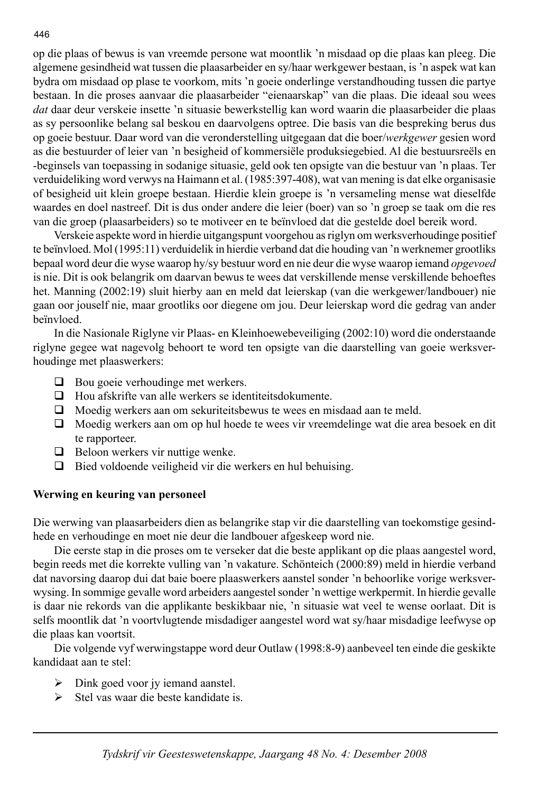op die plaas of bewus is van vreemde persone wat moontlik 'n misdaad op die plaas kan pleeg. Die algemene gesindheid wat tussen die plaasarbeider en sy/haar werkgewer bestaan, is 'n aspek wat kan bydra om misdaad op plase te voorkom, mits 'n goeie onderlinge verstandhouding tussen die partye bestaan. In die proses aanvaar die plaasarbeider "eienaarskap" van die plaas. Die ideaal sou wees *dat* daar deur verskeie insette 'n situasie bewerkstellig kan word waarin die plaasarbeider die plaas as sy persoonlike belang sal beskou en daarvolgens optree. Die basis van die bespreking berus dus op goeie bestuur. Daar word van die veronderstelling uitgegaan dat die boer/*werkgewer* gesien word as die bestuurder of leier van 'n besigheid of kommersiële produksiegebied. Al die bestuursreëls en -beginsels van toepassing in sodanige situasie, geld ook ten opsigte van die bestuur van 'n plaas. Ter verduideliking word verwys na Haimann et al. (1985:397-408), wat van mening is dat elke organisasie of besigheid uit klein groepe bestaan. Hierdie klein groepe is 'n versameling mense wat dieselfde waardes en doel nastreef. Dit is dus onder andere die leier (boer) van so 'n groep se taak om die res van die groep (plaasarbeiders) so te motiveer en te beïnvloed dat die gestelde doel bereik word.

 Verskeie aspekte word in hierdie uitgangspunt voorgehou as riglyn om werksverhoudinge positief te beïnvloed. Mol (1995:11) verduidelik in hierdie verband dat die houding van 'n werknemer grootliks bepaal word deur die wyse waarop hy/sy bestuur word en nie deur die wyse waarop iemand *opgevoed* is nie. Dit is ook belangrik om daarvan bewus te wees dat verskillende mense verskillende behoeftes het. Manning (2002:19) sluit hierby aan en meld dat leierskap (van die werkgewer/landbouer) nie gaan oor jouself nie, maar grootliks oor diegene om jou. Deur leierskap word die gedrag van ander beïnvloed.

 In die Nasionale Riglyne vir Plaas- en Kleinhoewebeveiliging (2002:10) word die onderstaande riglyne gegee wat nagevolg behoort te word ten opsigte van die daarstelling van goeie werksverhoudinge met plaaswerkers:

- $\Box$  Bou goeie verhoudinge met werkers.
- $\Box$  Hou afskrifte van alle werkers se identiteitsdokumente.
- Moedig werkers aan om sekuriteitsbewus te wees en misdaad aan te meld.
- Moedig werkers aan om op hul hoede te wees vir vreemdelinge wat die area besoek en dit te rapporteer.
- $\Box$  Beloon werkers vir nuttige wenke.
- $\Box$  Bied voldoende veiligheid vir die werkers en hul behuising.

## **Werwing en keuring van personeel**

Die werwing van plaasarbeiders dien as belangrike stap vir die daarstelling van toekomstige gesindhede en verhoudinge en moet nie deur die landbouer afgeskeep word nie.

 Die eerste stap in die proses om te verseker dat die beste applikant op die plaas aangestel word, begin reeds met die korrekte vulling van 'n vakature. Schönteich (2000:89) meld in hierdie verband dat navorsing daarop dui dat baie boere plaaswerkers aanstel sonder 'n behoorlike vorige werksverwysing. In sommige gevalle word arbeiders aangestel sonder 'n wettige werkpermit. In hierdie gevalle is daar nie rekords van die applikante beskikbaar nie, 'n situasie wat veel te wense oorlaat. Dit is selfs moontlik dat 'n voortvlugtende misdadiger aangestel word wat sy/haar misdadige leefwyse op die plaas kan voortsit.

 Die volgende vyf werwingstappe word deur Outlaw (1998:8-9) aanbeveel ten einde die geskikte kandidaat aan te stel:

- $\triangleright$  Dink goed voor jy iemand aanstel.
- $\triangleright$  Stel vas waar die beste kandidate is.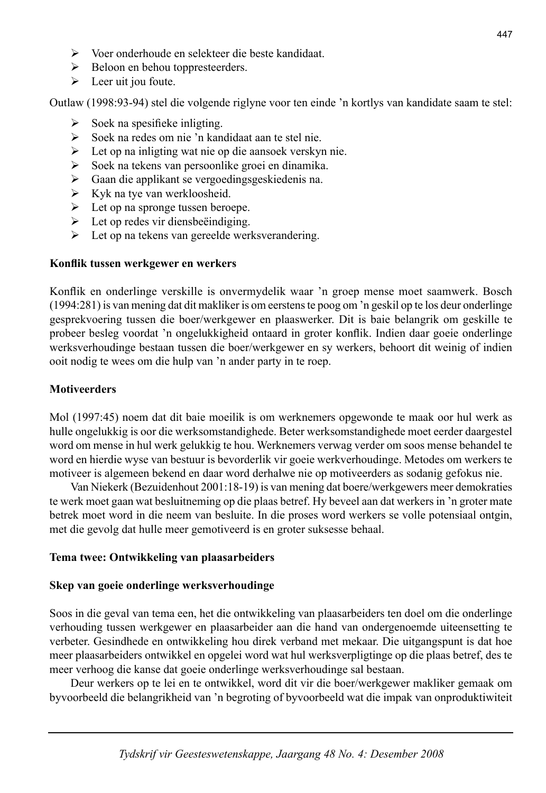- ¾ Voer onderhoude en selekteer die beste kandidaat.
- ¾ Beloon en behou toppresteerders.
- $\blacktriangleright$  Leer uit jou foute.

Outlaw (1998:93-94) stel die volgende riglyne voor ten einde 'n kortlys van kandidate saam te stel:

- $\triangleright$  Soek na spesifieke inligting.
- ¾ Soek na redes om nie 'n kandidaat aan te stel nie.
- ¾ Let op na inligting wat nie op die aansoek verskyn nie.
- $\triangleright$  Soek na tekens van persoonlike groei en dinamika.
- ¾ Gaan die applikant se vergoedingsgeskiedenis na.
- $\triangleright$  Kyk na tye van werkloosheid.
- $\triangleright$  Let op na spronge tussen beroepe.
- $\triangleright$  Let op redes vir diensbeëindiging.
- $\triangleright$  Let op na tekens van gereelde werksverandering.

#### **Konfl ik tussen werkgewer en werkers**

Konflik en onderlinge verskille is onvermydelik waar 'n groep mense moet saamwerk. Bosch (1994:281) is van mening dat dit makliker is om eerstens te poog om 'n geskil op te los deur onderlinge gesprekvoering tussen die boer/werkgewer en plaaswerker. Dit is baie belangrik om geskille te probeer besleg voordat 'n ongelukkigheid ontaard in groter konflik. Indien daar goeie onderlinge werksverhoudinge bestaan tussen die boer/werkgewer en sy werkers, behoort dit weinig of indien ooit nodig te wees om die hulp van 'n ander party in te roep.

#### **Motiveerders**

Mol (1997:45) noem dat dit baie moeilik is om werknemers opgewonde te maak oor hul werk as hulle ongelukkig is oor die werksomstandighede. Beter werksomstandighede moet eerder daargestel word om mense in hul werk gelukkig te hou. Werknemers verwag verder om soos mense behandel te word en hierdie wyse van bestuur is bevorderlik vir goeie werkverhoudinge. Metodes om werkers te motiveer is algemeen bekend en daar word derhalwe nie op motiveerders as sodanig gefokus nie.

 Van Niekerk (Bezuidenhout 2001:18-19) is van mening dat boere/werkgewers meer demokraties te werk moet gaan wat besluitneming op die plaas betref. Hy beveel aan dat werkers in 'n groter mate betrek moet word in die neem van besluite. In die proses word werkers se volle potensiaal ontgin, met die gevolg dat hulle meer gemotiveerd is en groter suksesse behaal.

#### **Tema twee: Ontwikkeling van plaasarbeiders**

#### **Skep van goeie onderlinge werksverhoudinge**

Soos in die geval van tema een, het die ontwikkeling van plaasarbeiders ten doel om die onderlinge verhouding tussen werkgewer en plaasarbeider aan die hand van ondergenoemde uiteensetting te verbeter. Gesindhede en ontwikkeling hou direk verband met mekaar. Die uitgangspunt is dat hoe meer plaasarbeiders ontwikkel en opgelei word wat hul werksverpligtinge op die plaas betref, des te meer verhoog die kanse dat goeie onderlinge werksverhoudinge sal bestaan.

 Deur werkers op te lei en te ontwikkel, word dit vir die boer/werkgewer makliker gemaak om byvoorbeeld die belangrikheid van 'n begroting of byvoorbeeld wat die impak van onproduktiwiteit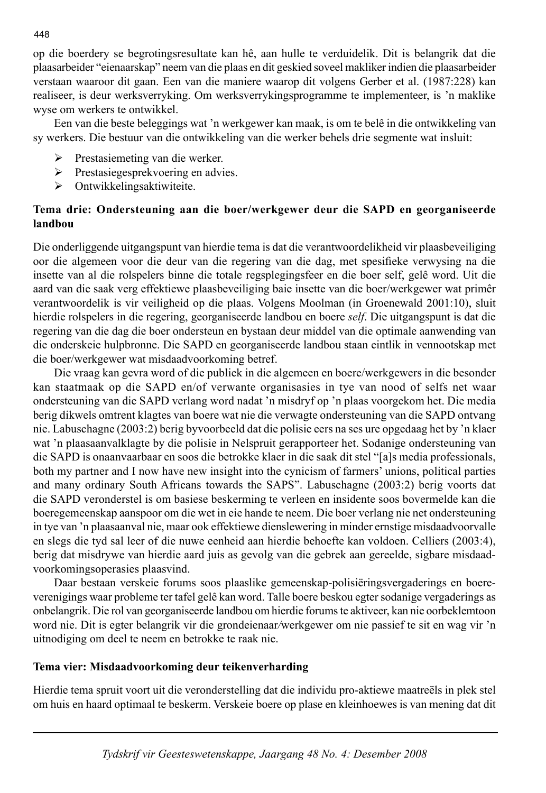op die boerdery se begrotingsresultate kan hê, aan hulle te verduidelik. Dit is belangrik dat die plaasarbeider "eienaarskap" neem van die plaas en dit geskied soveel makliker indien die plaasarbeider verstaan waaroor dit gaan. Een van die maniere waarop dit volgens Gerber et al. (1987:228) kan realiseer, is deur werksverryking. Om werksverrykingsprogramme te implementeer, is 'n maklike wyse om werkers te ontwikkel.

 Een van die beste beleggings wat 'n werkgewer kan maak, is om te belê in die ontwikkeling van sy werkers. Die bestuur van die ontwikkeling van die werker behels drie segmente wat insluit:

- $\triangleright$  Prestasiemeting van die werker.
- ¾ Prestasiegesprekvoering en advies.
- $\triangleright$  Ontwikkelingsaktiwiteite.

## **Tema drie: Ondersteuning aan die boer/werkgewer deur die SAPD en georganiseerde landbou**

Die onderliggende uitgangspunt van hierdie tema is dat die verantwoordelikheid vir plaasbeveiliging oor die algemeen voor die deur van die regering van die dag, met spesifieke verwysing na die insette van al die rolspelers binne die totale regsplegingsfeer en die boer self, gelê word. Uit die aard van die saak verg effektiewe plaasbeveiliging baie insette van die boer/werkgewer wat primêr verantwoordelik is vir veiligheid op die plaas. Volgens Moolman (in Groenewald 2001:10), sluit hierdie rolspelers in die regering, georganiseerde landbou en boere *self*. Die uitgangspunt is dat die regering van die dag die boer ondersteun en bystaan deur middel van die optimale aanwending van die onderskeie hulpbronne. Die SAPD en georganiseerde landbou staan eintlik in vennootskap met die boer/werkgewer wat misdaadvoorkoming betref.

 Die vraag kan gevra word of die publiek in die algemeen en boere/werkgewers in die besonder kan staatmaak op die SAPD en/of verwante organisasies in tye van nood of selfs net waar ondersteuning van die SAPD verlang word nadat 'n misdryf op 'n plaas voorgekom het. Die media berig dikwels omtrent klagtes van boere wat nie die verwagte ondersteuning van die SAPD ontvang nie. Labuschagne (2003:2) berig byvoorbeeld dat die polisie eers na ses ure opgedaag het by 'n klaer wat 'n plaasaanvalklagte by die polisie in Nelspruit gerapporteer het. Sodanige ondersteuning van die SAPD is onaanvaarbaar en soos die betrokke klaer in die saak dit stel "[a]s media professionals, both my partner and I now have new insight into the cynicism of farmers' unions, political parties and many ordinary South Africans towards the SAPS". Labuschagne (2003:2) berig voorts dat die SAPD veronderstel is om basiese beskerming te verleen en insidente soos bovermelde kan die boeregemeenskap aanspoor om die wet in eie hande te neem. Die boer verlang nie net ondersteuning in tye van 'n plaasaanval nie, maar ook effektiewe dienslewering in minder ernstige misdaadvoorvalle en slegs die tyd sal leer of die nuwe eenheid aan hierdie behoefte kan voldoen. Celliers (2003:4), berig dat misdrywe van hierdie aard juis as gevolg van die gebrek aan gereelde, sigbare misdaadvoorkomingsoperasies plaasvind.

 Daar bestaan verskeie forums soos plaaslike gemeenskap-polisiëringsvergaderings en boereverenigings waar probleme ter tafel gelê kan word. Talle boere beskou egter sodanige vergaderings as onbelangrik. Die rol van georganiseerde landbou om hierdie forums te aktiveer, kan nie oorbeklemtoon word nie. Dit is egter belangrik vir die grondeienaar*/*werkgewer om nie passief te sit en wag vir 'n uitnodiging om deel te neem en betrokke te raak nie.

#### **Tema vier: Misdaadvoorkoming deur teikenverharding**

Hierdie tema spruit voort uit die veronderstelling dat die individu pro-aktiewe maatreëls in plek stel om huis en haard optimaal te beskerm. Verskeie boere op plase en kleinhoewes is van mening dat dit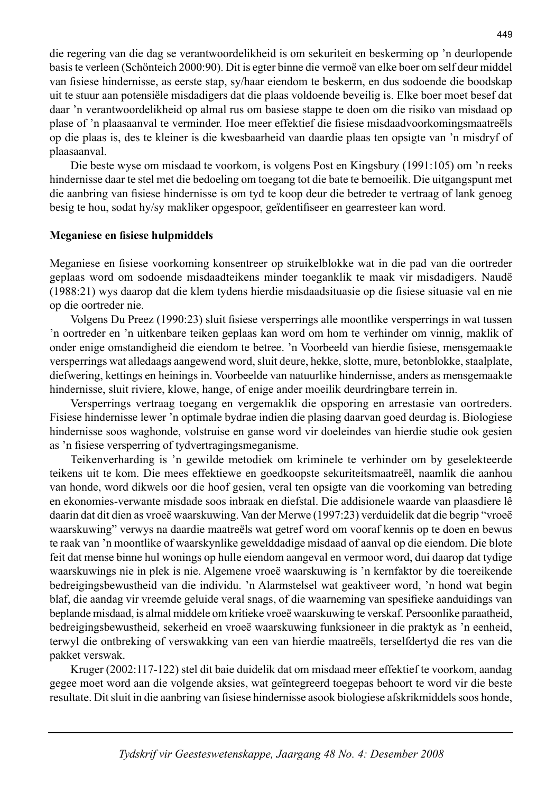die regering van die dag se verantwoordelikheid is om sekuriteit en beskerming op 'n deurlopende basis te verleen (Schönteich 2000:90). Dit is egter binne die vermoë van elke boer om self deur middel van fisiese hindernisse, as eerste stap, sy/haar eiendom te beskerm, en dus sodoende die boodskap uit te stuur aan potensiële misdadigers dat die plaas voldoende beveilig is. Elke boer moet besef dat daar 'n verantwoordelikheid op almal rus om basiese stappe te doen om die risiko van misdaad op plase of 'n plaasaanval te verminder. Hoe meer effektief die fisiese misdaadvoorkomingsmaatreëls op die plaas is, des te kleiner is die kwesbaarheid van daardie plaas ten opsigte van 'n misdryf of plaasaanval.

 Die beste wyse om misdaad te voorkom, is volgens Post en Kingsbury (1991:105) om 'n reeks hindernisse daar te stel met die bedoeling om toegang tot die bate te bemoeilik. Die uitgangspunt met die aanbring van fisiese hindernisse is om tyd te koop deur die betreder te vertraag of lank genoeg besig te hou, sodat hy/sy makliker opgespoor, geïdentifiseer en gearresteer kan word.

#### **Meganiese en fi siese hulpmiddels**

Meganiese en fisiese voorkoming konsentreer op struikelblokke wat in die pad van die oortreder geplaas word om sodoende misdaadteikens minder toeganklik te maak vir misdadigers. Naudë (1988:21) wys daarop dat die klem tydens hierdie misdaadsituasie op die fisiese situasie val en nie op die oortreder nie.

Volgens Du Preez (1990:23) sluit fisiese versperrings alle moontlike versperrings in wat tussen 'n oortreder en 'n uitkenbare teiken geplaas kan word om hom te verhinder om vinnig, maklik of onder enige omstandigheid die eiendom te betree. 'n Voorbeeld van hierdie fisiese, mensgemaakte versperrings wat alledaags aangewend word, sluit deure, hekke, slotte, mure, betonblokke, staalplate, diefwering, kettings en heinings in. Voorbeelde van natuurlike hindernisse, anders as mensgemaakte hindernisse, sluit riviere, klowe, hange, of enige ander moeilik deurdringbare terrein in.

 Versperrings vertraag toegang en vergemaklik die opsporing en arrestasie van oortreders. Fisiese hindernisse lewer 'n optimale bydrae indien die plasing daarvan goed deurdag is. Biologiese hindernisse soos waghonde, volstruise en ganse word vir doeleindes van hierdie studie ook gesien as 'n fisiese versperring of tydvertragingsmeganisme.

 Teikenverharding is 'n gewilde metodiek om kriminele te verhinder om by geselekteerde teikens uit te kom. Die mees effektiewe en goedkoopste sekuriteitsmaatreël, naamlik die aanhou van honde, word dikwels oor die hoof gesien, veral ten opsigte van die voorkoming van betreding en ekonomies-verwante misdade soos inbraak en diefstal. Die addisionele waarde van plaasdiere lê daarin dat dit dien as vroeë waarskuwing. Van der Merwe (1997:23) verduidelik dat die begrip "vroeë waarskuwing" verwys na daardie maatreëls wat getref word om vooraf kennis op te doen en bewus te raak van 'n moontlike of waarskynlike gewelddadige misdaad of aanval op die eiendom. Die blote feit dat mense binne hul wonings op hulle eiendom aangeval en vermoor word, dui daarop dat tydige waarskuwings nie in plek is nie. Algemene vroeë waarskuwing is 'n kernfaktor by die toereikende bedreigings bewustheid van die individu. 'n Alarmstelsel wat geaktiveer word, 'n hond wat begin blaf, die aandag vir vreemde geluide veral snags, of die waarneming van spesifieke aanduidings van beplande misdaad, is almal middele om kritieke vroeë waarskuwing te verskaf. Persoonlike paraatheid, bedreigings bewustheid, sekerheid en vroeë waarskuwing funksioneer in die praktyk as 'n eenheid, terwyl die ontbreking of verswakking van een van hierdie maatreëls, terselfdertyd die res van die pakket verswak.

 Kruger (2002:117-122) stel dit baie duidelik dat om misdaad meer effektief te voorkom, aandag gegee moet word aan die volgende aksies, wat geïntegreerd toegepas behoort te word vir die beste resultate. Dit sluit in die aanbring van fisiese hindernisse asook biologiese afskrikmiddels soos honde,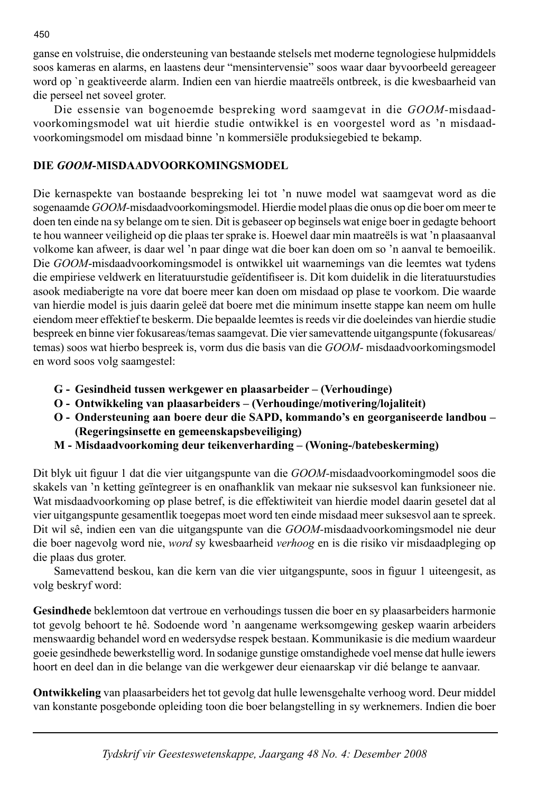ganse en volstruise, die ondersteuning van bestaande stelsels met moderne tegnologiese hulpmiddels soos kameras en alarms, en laastens deur "mensintervensie" soos waar daar byvoorbeeld gereageer word op `n geaktiveerde alarm. Indien een van hierdie maatreëls ontbreek, is die kwesbaarheid van die perseel net soveel groter.

 Die essensie van bogenoemde bespreking word saamgevat in die *GOOM-*misdaadvoorkomingsmodel wat uit hierdie studie ontwikkel is en voorgestel word as 'n misdaadvoorkomingsmodel om misdaad binne 'n kommersiële produksiegebied te bekamp.

## **DIE** *GOOM***-MISDAADVOORKOMINGSMODEL**

Die kernaspekte van bostaande bespreking lei tot 'n nuwe model wat saamgevat word as die sogenaamde *GOOM-*misdaadvoorkomingsmodel. Hierdie model plaas die onus op die boer om meer te doen ten einde na sy belange om te sien. Dit is gebaseer op beginsels wat enige boer in gedagte behoort te hou wanneer veiligheid op die plaas ter sprake is. Hoewel daar min maatreëls is wat 'n plaasaanval volkome kan afweer, is daar wel 'n paar dinge wat die boer kan doen om so 'n aanval te bemoeilik. Die *GOOM*-misdaadvoorkomingsmodel is ontwikkel uit waarnemings van die leemtes wat tydens die empiriese veldwerk en literatuurstudie geïdentifiseer is. Dit kom duidelik in die literatuurstudies asook mediaberigte na vore dat boere meer kan doen om misdaad op plase te voorkom. Die waarde van hierdie model is juis daarin geleë dat boere met die minimum insette stappe kan neem om hulle eiendom meer effektief te beskerm. Die bepaalde leemtes is reeds vir die doeleindes van hierdie studie bespreek en binne vier fokusareas/temas saamgevat. Die vier samevattende uitgangspunte (fokusareas/ temas) soos wat hierbo bespreek is, vorm dus die basis van die *GOOM-* misdaadvoorkomingsmodel en word soos volg saamgestel:

- **G Gesindheid tussen werkgewer en plaasarbeider (Verhoudinge)**
- **O Ontwikkeling van plaasarbeiders (Verhoudinge/motivering/lojaliteit)**
- **O Ondersteuning aan boere deur die SAPD, kommando's en georganiseerde landbou (Regeringsinsette en gemeenskapsbeveiliging)**
- **M Misdaadvoorkoming deur teikenverharding (Woning-/batebeskerming)**

Dit blyk uit figuur 1 dat die vier uitgangspunte van die *GOOM*-misdaadvoorkomingmodel soos die skakels van 'n ketting geïntegreer is en onafhanklik van mekaar nie suksesvol kan funksioneer nie. Wat misdaadvoorkoming op plase betref, is die effektiwiteit van hierdie model daarin gesetel dat al vier uitgangspunte gesamentlik toegepas moet word ten einde misdaad meer suksesvol aan te spreek. Dit wil sê, indien een van die uitgangspunte van die *GOOM-*misdaadvoorkomingsmodel nie deur die boer nagevolg word nie, *word* sy kwesbaarheid *verhoog* en is die risiko vir misdaadpleging op die plaas dus groter.

Samevattend beskou, kan die kern van die vier uitgangspunte, soos in figuur 1 uiteengesit, as volg beskryf word:

**Gesindhede** beklemtoon dat vertroue en verhoudings tussen die boer en sy plaasarbeiders harmonie tot gevolg behoort te hê. Sodoende word 'n aangename werksomgewing geskep waarin arbeiders menswaardig behandel word en wedersydse respek bestaan. Kommunikasie is die medium waardeur goeie gesindhede bewerkstellig word. In sodanige gunstige omstandighede voel mense dat hulle iewers hoort en deel dan in die belange van die werkgewer deur eienaarskap vir dié belange te aanvaar.

**Ontwikkeling** van plaasarbeiders het tot gevolg dat hulle lewensgehalte verhoog word. Deur middel van konstante posgebonde opleiding toon die boer belangstelling in sy werknemers. Indien die boer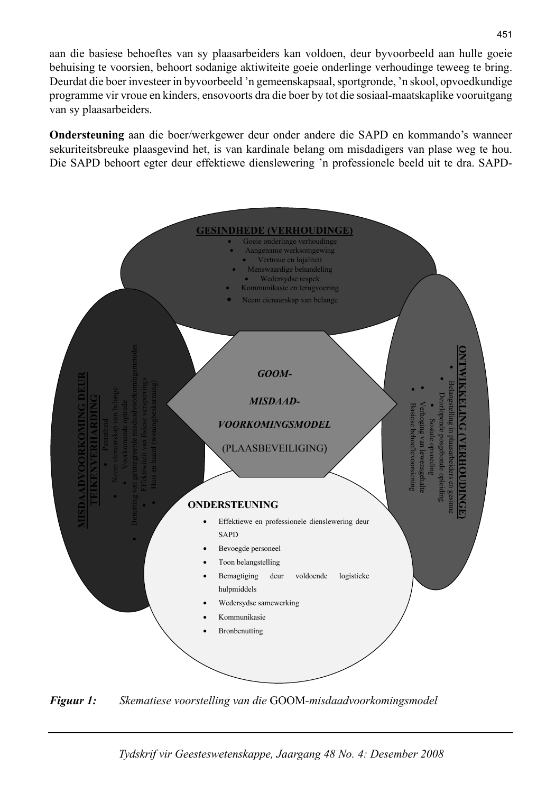aan die basiese behoeftes van sy plaasarbeiders kan voldoen, deur byvoorbeeld aan hulle goeie behuising te voorsien, behoort sodanige aktiwiteite goeie onderlinge verhoudinge teweeg te bring. Deurdat die boer investeer in byvoorbeeld 'n gemeenskapsaal, sportgronde, 'n skool, opvoedkundige programme vir vroue en kinders, ensovoorts dra die boer by tot die sosiaal-maatskaplike vooruitgang van sy plaasarbeiders.

**Ondersteuning** aan die boer/werkgewer deur onder andere die SAPD en kommando's wanneer sekuriteitsbreuke plaasgevind het, is van kardinale belang om misdadigers van plase weg te hou. Die SAPD behoort egter deur effektiewe dienslewering 'n professionele beeld uit te dra. SAPD-



*Figuur 1: Skematiese voorstelling van die* GOOM*-misdaadvoorkomingsmodel*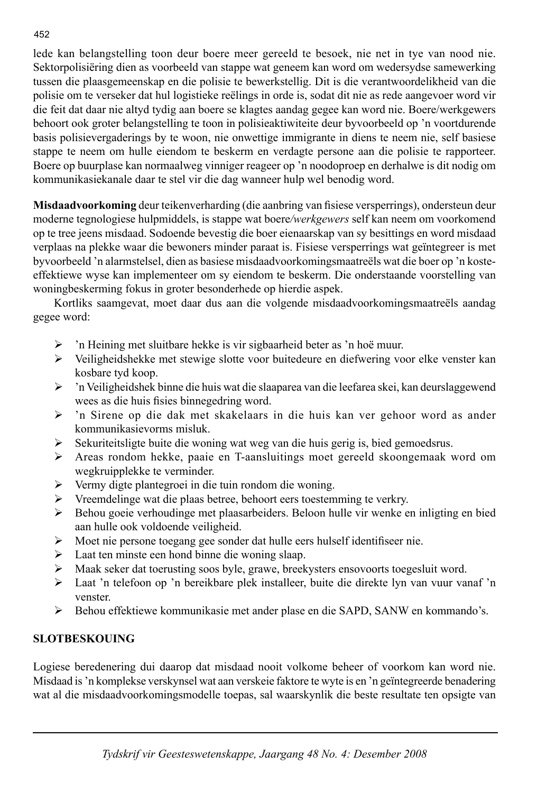lede kan belangstelling toon deur boere meer gereeld te besoek, nie net in tye van nood nie. Sektorpolisiëring dien as voorbeeld van stappe wat geneem kan word om wedersydse samewerking tussen die plaasgemeenskap en die polisie te bewerkstellig. Dit is die verantwoordelikheid van die polisie om te verseker dat hul logistieke reëlings in orde is, sodat dit nie as rede aangevoer word vir die feit dat daar nie altyd tydig aan boere se klagtes aandag gegee kan word nie. Boere/werkgewers behoort ook groter belangstelling te toon in polisieaktiwiteite deur byvoorbeeld op 'n voortdurende basis polisievergaderings by te woon, nie onwettige immigrante in diens te neem nie, self basiese stappe te neem om hulle eiendom te beskerm en verdagte persone aan die polisie te rapporteer. Boere op buurplase kan normaalweg vinniger reageer op 'n noodoproep en derhalwe is dit nodig om kommunikasiekanale daar te stel vir die dag wanneer hulp wel benodig word.

**Misdaadvoorkoming** deur teikenverharding (die aanbring van fisiese versperrings), ondersteun deur moderne tegnologiese hulpmiddels, is stappe wat boere*/werkgewers* self kan neem om voorkomend op te tree jeens misdaad. Sodoende bevestig die boer eienaarskap van sy besittings en word misdaad verplaas na plekke waar die bewoners minder paraat is. Fisiese versperrings wat geïntegreer is met byvoorbeeld 'n alarmstelsel, dien as basiese misdaadvoorkomingsmaatreëls wat die boer op 'n kosteeffektiewe wyse kan implementeer om sy eiendom te beskerm. Die onderstaande voorstelling van woningbeskerming fokus in groter besonderhede op hierdie aspek.

 Kortliks saamgevat, moet daar dus aan die volgende misdaadvoorkomingsmaatreëls aandag gegee word:

- ¾ 'n Heining met sluitbare hekke is vir sigbaarheid beter as 'n hoë muur.
- $\triangleright$  Veiligheidshekke met stewige slotte voor buitedeure en diefwering voor elke venster kan kosbare tyd koop.
- $\triangleright$  'n Veiligheidshek binne die huis wat die slaaparea van die leefarea skei, kan deurslaggewend wees as die huis fisies binnegedring word.
- ¾ 'n Sirene op die dak met skakelaars in die huis kan ver gehoor word as ander kommunikasievorms misluk.
- $\triangleright$  Sekuriteitsligte buite die woning wat weg van die huis gerig is, bied gemoedsrus.
- ¾ Areas rondom hekke, paaie en T-aansluitings moet gereeld skoongemaak word om wegkruipplekke te verminder.
- ¾ Vermy digte plantegroei in die tuin rondom die woning.
- ¾ Vreemdelinge wat die plaas betree, behoort eers toestemming te verkry.
- ¾ Behou goeie verhoudinge met plaasarbeiders. Beloon hulle vir wenke en inligting en bied aan hulle ook voldoende veiligheid.
- $\triangleright$  Moet nie persone toegang gee sonder dat hulle eers hulself identifiseer nie.
- $\blacktriangleright$  Laat ten minste een hond binne die woning slaap.
- $\triangleright$  Maak seker dat toerusting soos byle, grawe, breekysters ensovoorts toegesluit word.
- ¾ Laat 'n telefoon op 'n bereikbare plek installeer, buite die direkte lyn van vuur vanaf 'n venster.
- ¾ Behou effektiewe kommunikasie met ander plase en die SAPD, SANW en kommando's.

# **SLOTBESKOUING**

Logiese beredenering dui daarop dat misdaad nooit volkome beheer of voorkom kan word nie. Misdaad is 'n komplekse verskynsel wat aan verskeie faktore te wyte is en 'n geïntegreerde benadering wat al die misdaadvoorkomingsmodelle toepas, sal waarskynlik die beste resultate ten opsigte van